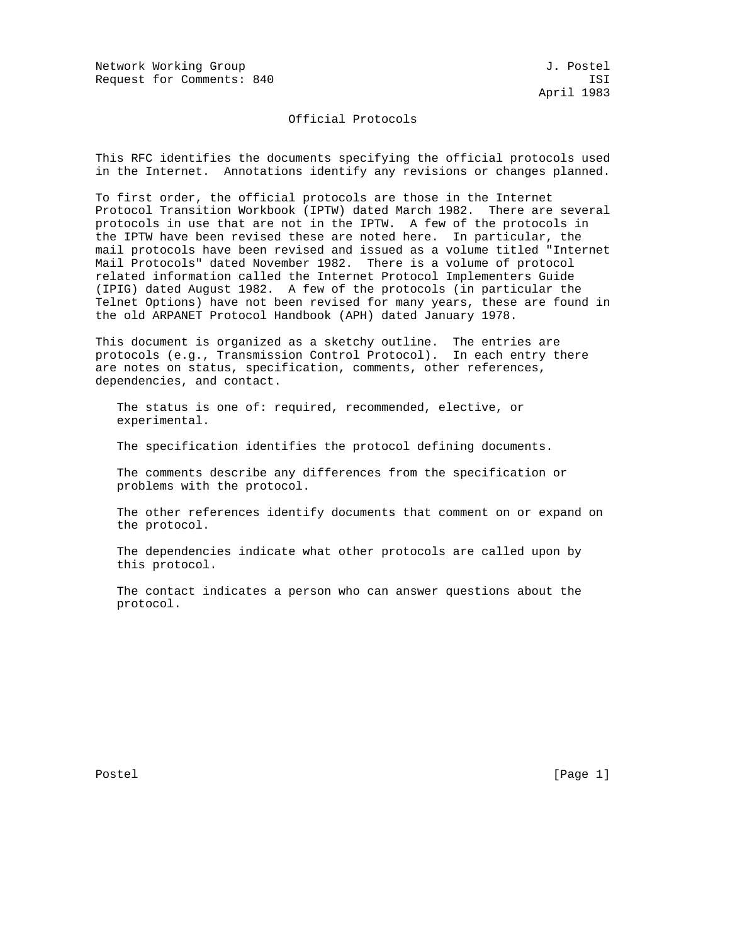Network Working Group and Society and Society and Society and Society and J. Postel Request for Comments: 840 ISI

## Official Protocols

This RFC identifies the documents specifying the official protocols used in the Internet. Annotations identify any revisions or changes planned.

To first order, the official protocols are those in the Internet Protocol Transition Workbook (IPTW) dated March 1982. There are several protocols in use that are not in the IPTW. A few of the protocols in the IPTW have been revised these are noted here. In particular, the mail protocols have been revised and issued as a volume titled "Internet Mail Protocols" dated November 1982. There is a volume of protocol related information called the Internet Protocol Implementers Guide (IPIG) dated August 1982. A few of the protocols (in particular the Telnet Options) have not been revised for many years, these are found in the old ARPANET Protocol Handbook (APH) dated January 1978.

This document is organized as a sketchy outline. The entries are protocols (e.g., Transmission Control Protocol). In each entry there are notes on status, specification, comments, other references, dependencies, and contact.

 The status is one of: required, recommended, elective, or experimental.

The specification identifies the protocol defining documents.

 The comments describe any differences from the specification or problems with the protocol.

 The other references identify documents that comment on or expand on the protocol.

 The dependencies indicate what other protocols are called upon by this protocol.

 The contact indicates a person who can answer questions about the protocol.

Postel [Page 1] [Page 1]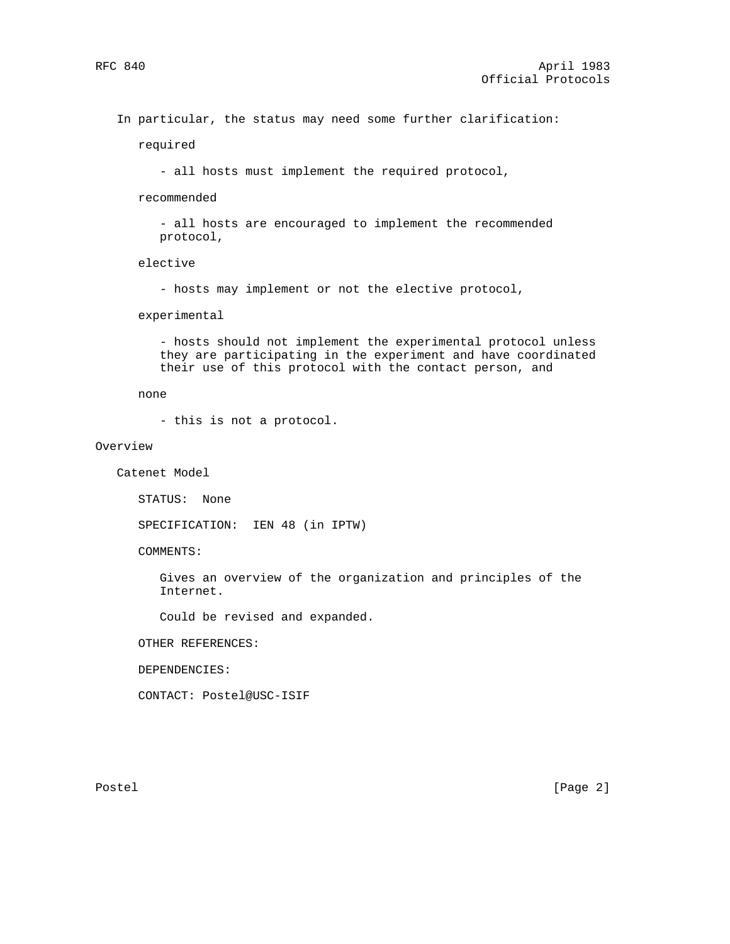In particular, the status may need some further clarification:

required

- all hosts must implement the required protocol,

recommended

 - all hosts are encouraged to implement the recommended protocol,

elective

- hosts may implement or not the elective protocol,

experimental

 - hosts should not implement the experimental protocol unless they are participating in the experiment and have coordinated their use of this protocol with the contact person, and

none

- this is not a protocol.

#### Overview

Catenet Model

STATUS: None

SPECIFICATION: IEN 48 (in IPTW)

COMMENTS:

 Gives an overview of the organization and principles of the Internet.

Could be revised and expanded.

OTHER REFERENCES:

DEPENDENCIES:

CONTACT: Postel@USC-ISIF

Postel [Page 2]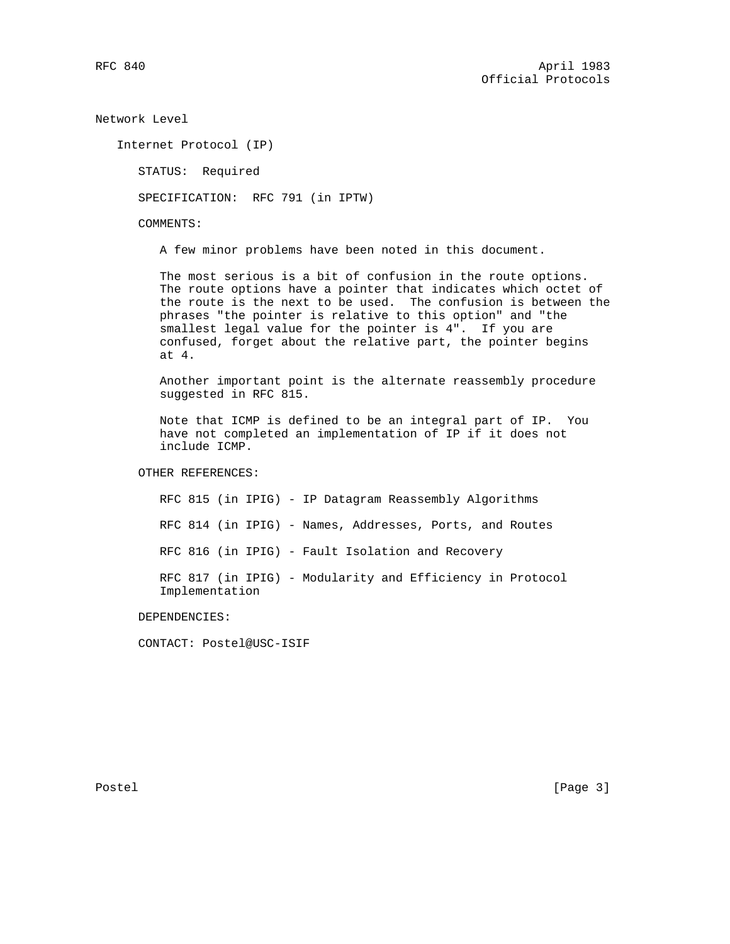Network Level

Internet Protocol (IP)

STATUS: Required

SPECIFICATION: RFC 791 (in IPTW)

COMMENTS:

A few minor problems have been noted in this document.

 The most serious is a bit of confusion in the route options. The route options have a pointer that indicates which octet of the route is the next to be used. The confusion is between the phrases "the pointer is relative to this option" and "the smallest legal value for the pointer is 4". If you are confused, forget about the relative part, the pointer begins at 4.

 Another important point is the alternate reassembly procedure suggested in RFC 815.

 Note that ICMP is defined to be an integral part of IP. You have not completed an implementation of IP if it does not include ICMP.

OTHER REFERENCES:

 RFC 815 (in IPIG) - IP Datagram Reassembly Algorithms RFC 814 (in IPIG) - Names, Addresses, Ports, and Routes RFC 816 (in IPIG) - Fault Isolation and Recovery RFC 817 (in IPIG) - Modularity and Efficiency in Protocol Implementation

DEPENDENCIES:

CONTACT: Postel@USC-ISIF

Postel [Page 3]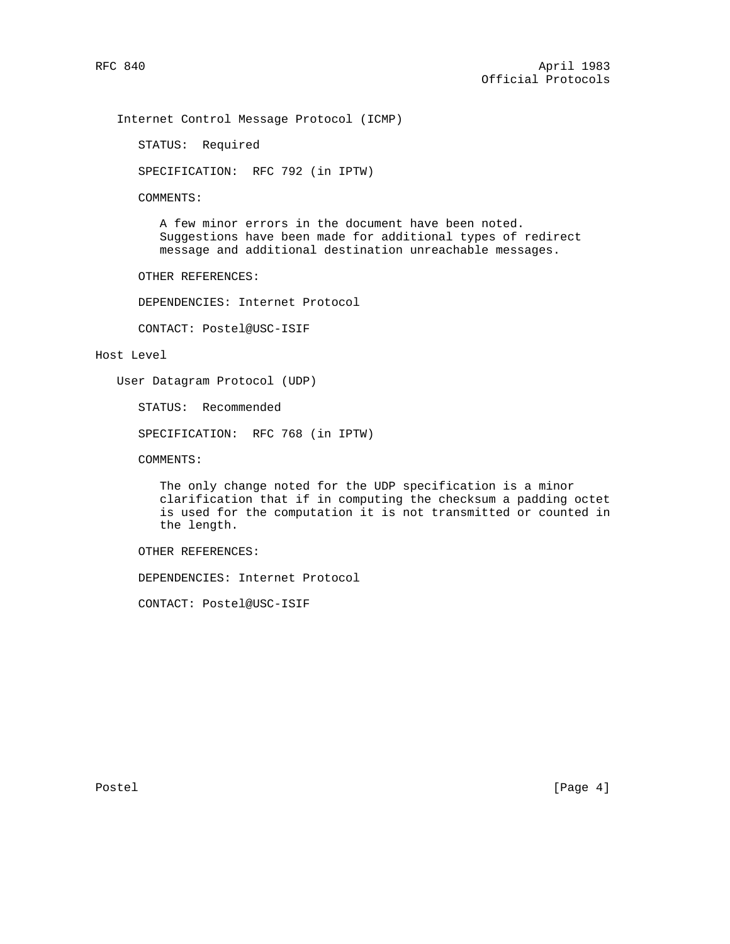Internet Control Message Protocol (ICMP)

STATUS: Required

SPECIFICATION: RFC 792 (in IPTW)

COMMENTS:

 A few minor errors in the document have been noted. Suggestions have been made for additional types of redirect message and additional destination unreachable messages.

OTHER REFERENCES:

DEPENDENCIES: Internet Protocol

CONTACT: Postel@USC-ISIF

### Host Level

User Datagram Protocol (UDP)

STATUS: Recommended

SPECIFICATION: RFC 768 (in IPTW)

COMMENTS:

 The only change noted for the UDP specification is a minor clarification that if in computing the checksum a padding octet is used for the computation it is not transmitted or counted in the length.

OTHER REFERENCES:

DEPENDENCIES: Internet Protocol

CONTACT: Postel@USC-ISIF

Postel [Page 4]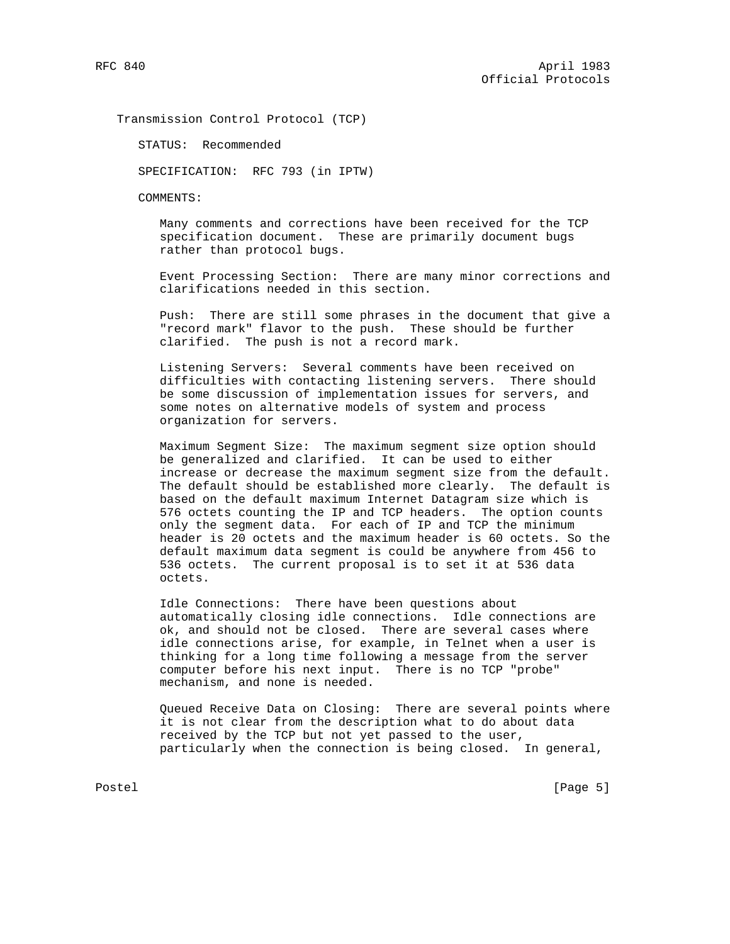Transmission Control Protocol (TCP)

STATUS: Recommended

SPECIFICATION: RFC 793 (in IPTW)

COMMENTS:

 Many comments and corrections have been received for the TCP specification document. These are primarily document bugs rather than protocol bugs.

 Event Processing Section: There are many minor corrections and clarifications needed in this section.

 Push: There are still some phrases in the document that give a "record mark" flavor to the push. These should be further clarified. The push is not a record mark.

 Listening Servers: Several comments have been received on difficulties with contacting listening servers. There should be some discussion of implementation issues for servers, and some notes on alternative models of system and process organization for servers.

 Maximum Segment Size: The maximum segment size option should be generalized and clarified. It can be used to either increase or decrease the maximum segment size from the default. The default should be established more clearly. The default is based on the default maximum Internet Datagram size which is 576 octets counting the IP and TCP headers. The option counts only the segment data. For each of IP and TCP the minimum header is 20 octets and the maximum header is 60 octets. So the default maximum data segment is could be anywhere from 456 to 536 octets. The current proposal is to set it at 536 data octets.

 Idle Connections: There have been questions about automatically closing idle connections. Idle connections are ok, and should not be closed. There are several cases where idle connections arise, for example, in Telnet when a user is thinking for a long time following a message from the server computer before his next input. There is no TCP "probe" mechanism, and none is needed.

 Queued Receive Data on Closing: There are several points where it is not clear from the description what to do about data received by the TCP but not yet passed to the user, particularly when the connection is being closed. In general,

Postel [Page 5]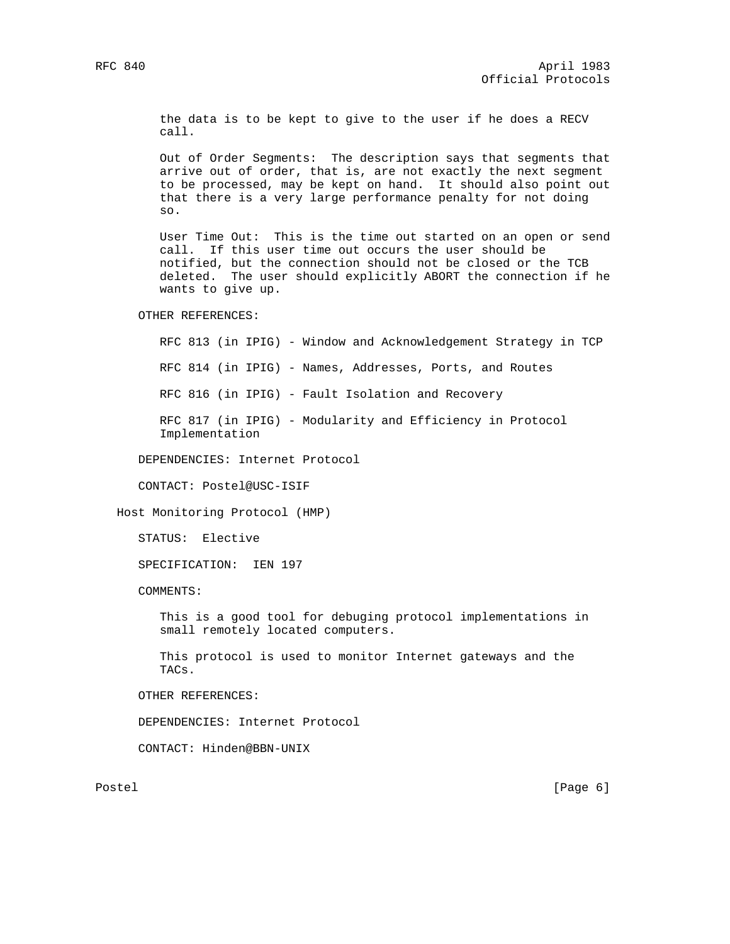the data is to be kept to give to the user if he does a RECV call.

 Out of Order Segments: The description says that segments that arrive out of order, that is, are not exactly the next segment to be processed, may be kept on hand. It should also point out that there is a very large performance penalty for not doing so.

 User Time Out: This is the time out started on an open or send call. If this user time out occurs the user should be notified, but the connection should not be closed or the TCB deleted. The user should explicitly ABORT the connection if he wants to give up.

OTHER REFERENCES:

 RFC 813 (in IPIG) - Window and Acknowledgement Strategy in TCP RFC 814 (in IPIG) - Names, Addresses, Ports, and Routes RFC 816 (in IPIG) - Fault Isolation and Recovery RFC 817 (in IPIG) - Modularity and Efficiency in Protocol Implementation

DEPENDENCIES: Internet Protocol

CONTACT: Postel@USC-ISIF

Host Monitoring Protocol (HMP)

STATUS: Elective

SPECIFICATION: IEN 197

COMMENTS:

 This is a good tool for debuging protocol implementations in small remotely located computers.

 This protocol is used to monitor Internet gateways and the TACs.

OTHER REFERENCES:

DEPENDENCIES: Internet Protocol

CONTACT: Hinden@BBN-UNIX

Postel [Page 6] [Page 6] [Page 6] [Page 6] [Page 6] [Page 6] [Page 6] [Page 6] [Page 6] [Page 6] [Page 6] [Page 6] [Page 6] [Page 6] [Page 6] [Page 6] [Page 6] [Page 6] [Page 6] [Page 6] [Page 6] [Page 6] [Page 6] [Page 6]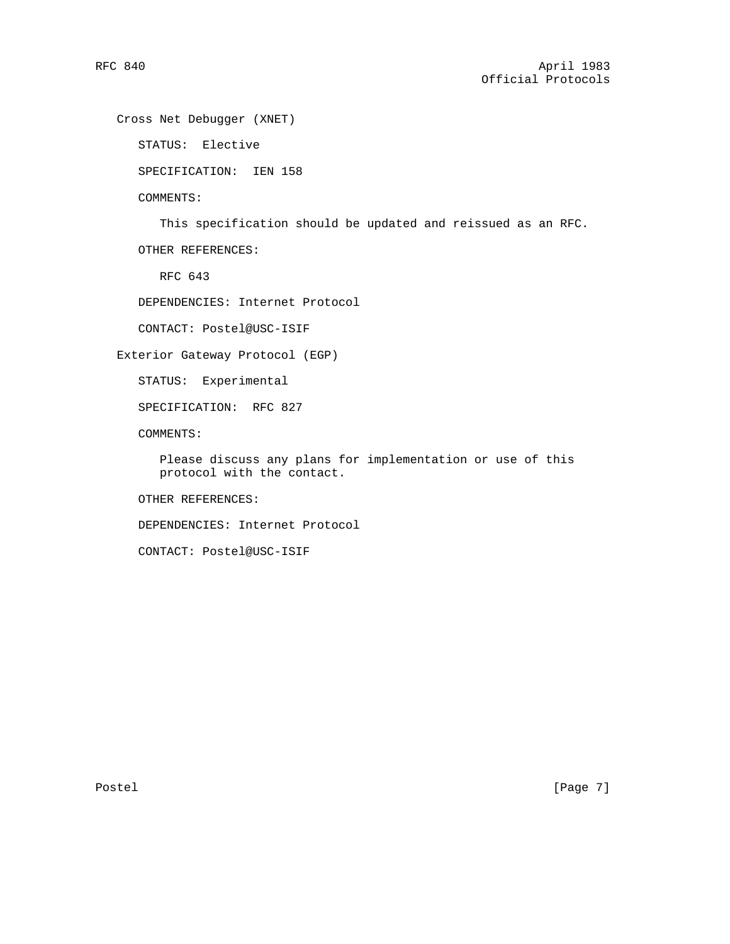Cross Net Debugger (XNET)

STATUS: Elective

SPECIFICATION: IEN 158

COMMENTS:

This specification should be updated and reissued as an RFC.

OTHER REFERENCES:

RFC 643

DEPENDENCIES: Internet Protocol

CONTACT: Postel@USC-ISIF

Exterior Gateway Protocol (EGP)

STATUS: Experimental

SPECIFICATION: RFC 827

COMMENTS:

 Please discuss any plans for implementation or use of this protocol with the contact.

OTHER REFERENCES:

DEPENDENCIES: Internet Protocol

CONTACT: Postel@USC-ISIF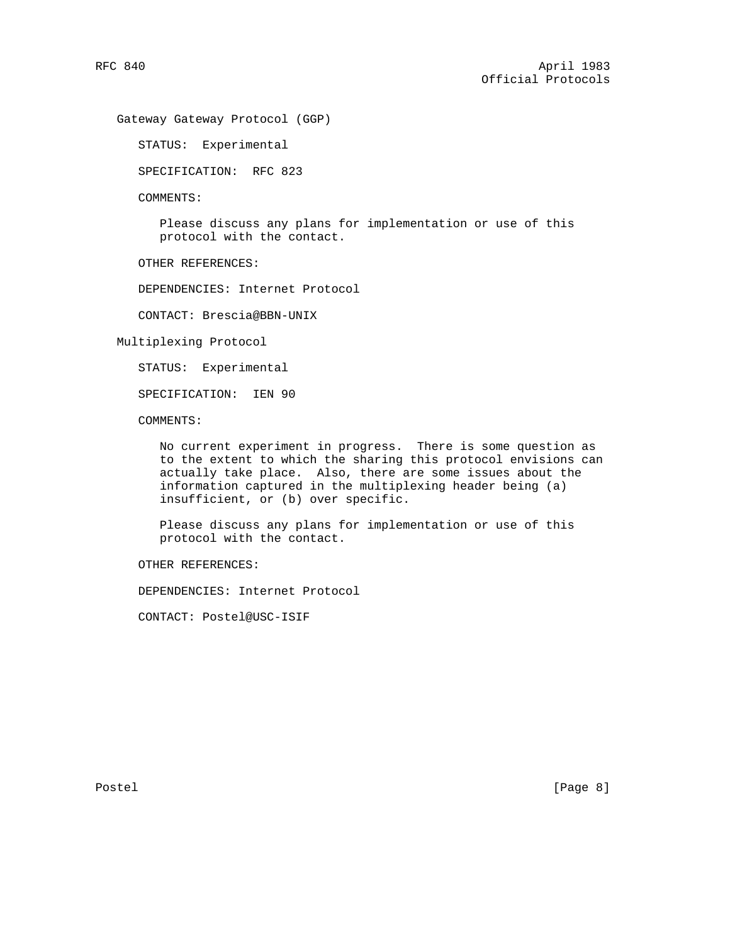Gateway Gateway Protocol (GGP)

STATUS: Experimental

SPECIFICATION: RFC 823

COMMENTS:

 Please discuss any plans for implementation or use of this protocol with the contact.

OTHER REFERENCES:

DEPENDENCIES: Internet Protocol

CONTACT: Brescia@BBN-UNIX

Multiplexing Protocol

STATUS: Experimental

SPECIFICATION: IEN 90

COMMENTS:

 No current experiment in progress. There is some question as to the extent to which the sharing this protocol envisions can actually take place. Also, there are some issues about the information captured in the multiplexing header being (a) insufficient, or (b) over specific.

 Please discuss any plans for implementation or use of this protocol with the contact.

OTHER REFERENCES:

DEPENDENCIES: Internet Protocol

CONTACT: Postel@USC-ISIF

Postel [Page 8]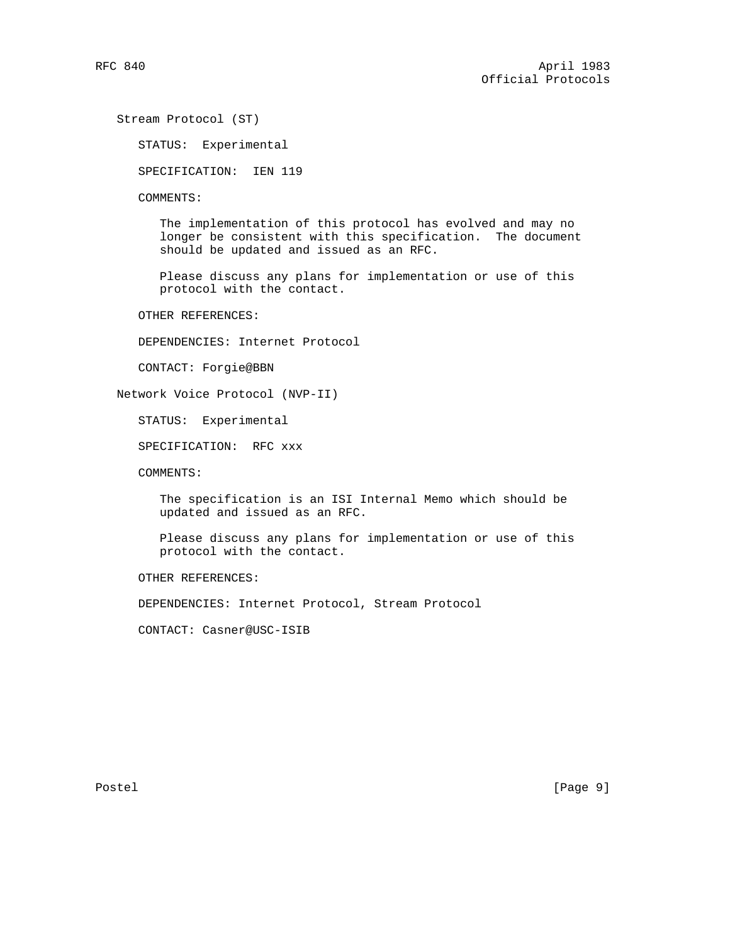Stream Protocol (ST)

STATUS: Experimental

SPECIFICATION: IEN 119

COMMENTS:

 The implementation of this protocol has evolved and may no longer be consistent with this specification. The document should be updated and issued as an RFC.

 Please discuss any plans for implementation or use of this protocol with the contact.

OTHER REFERENCES:

DEPENDENCIES: Internet Protocol

CONTACT: Forgie@BBN

Network Voice Protocol (NVP-II)

STATUS: Experimental

SPECIFICATION: RFC xxx

COMMENTS:

 The specification is an ISI Internal Memo which should be updated and issued as an RFC.

 Please discuss any plans for implementation or use of this protocol with the contact.

OTHER REFERENCES:

DEPENDENCIES: Internet Protocol, Stream Protocol

CONTACT: Casner@USC-ISIB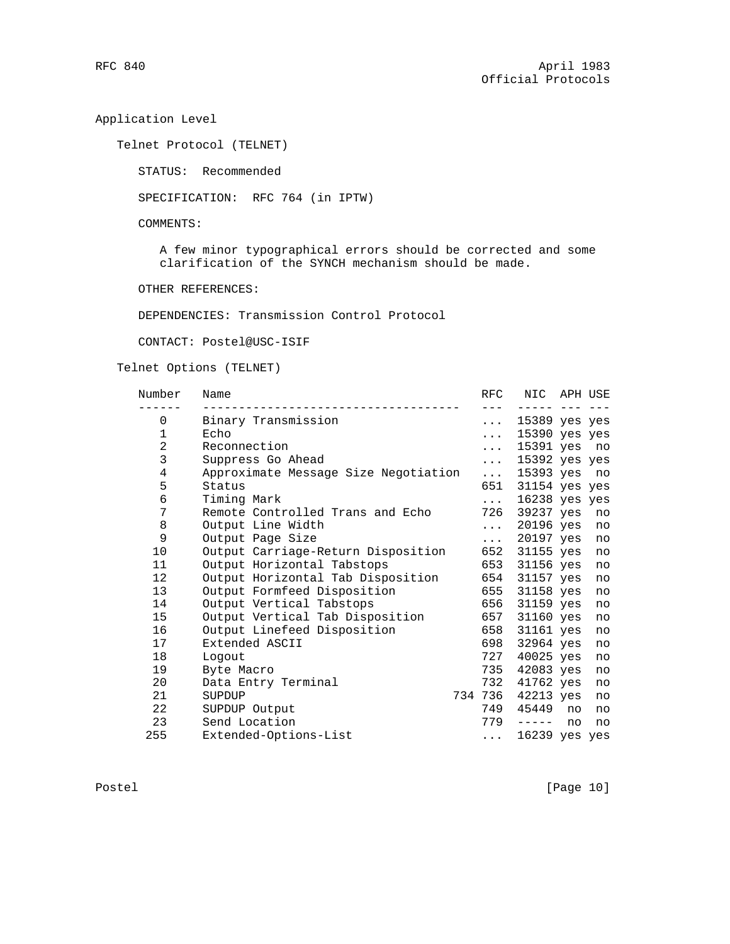Application Level

Telnet Protocol (TELNET)

STATUS: Recommended

SPECIFICATION: RFC 764 (in IPTW)

COMMENTS:

 A few minor typographical errors should be corrected and some clarification of the SYNCH mechanism should be made.

OTHER REFERENCES:

DEPENDENCIES: Transmission Control Protocol

CONTACT: Postel@USC-ISIF

# Telnet Options (TELNET)

| Number       | Name                                 | RFC                         | NIC APH USE       |    |    |
|--------------|--------------------------------------|-----------------------------|-------------------|----|----|
| 0            | Binary Transmission                  | $\cdots$                    | 15389 yes yes     |    |    |
| $\mathbf{1}$ | Echo                                 | $\cdots$                    | $15390$ yes yes   |    |    |
| 2            | Reconnection                         | $\cdots$                    | 15391 yes         |    | no |
| 3            | Suppress Go Ahead                    | $\cdots$                    | 15392 yes yes     |    |    |
| 4            | Approximate Message Size Negotiation | $\mathbf{1}$ , $\mathbf{1}$ | 15393 yes no      |    |    |
| 5            | Status                               | 651                         | 31154 yes yes     |    |    |
| 6            | Timing Mark                          | $\cdot$ $\cdot$ $\cdot$     | 16238 yes yes     |    |    |
| 7            | Remote Controlled Trans and Echo     | 726                         | 39237 yes         |    | no |
| 8            | Output Line Width                    | $\cdots$                    | 20196 yes         |    | no |
| 9            | Output Page Size                     | $\cdots$                    | 20197 yes         |    | no |
| 10           | Output Carriage-Return Disposition   | 652                         | 31155 yes         |    | no |
| 11           | Output Horizontal Tabstops           | 653                         | 31156 yes         |    | no |
| 12           | Output Horizontal Tab Disposition    | 654                         | 31157 yes         |    | no |
| 13           | Output Formfeed Disposition          | 655                         | 31158 yes         |    | no |
| 14           | Output Vertical Tabstops             | 656                         | 31159 yes         |    | no |
| 15           | Output Vertical Tab Disposition      | 657                         | 31160 yes         |    | no |
| 16           | Output Linefeed Disposition          | 658                         | 31161 yes         |    | no |
| 17           | Extended ASCII                       | 698                         | 32964 yes         |    | no |
| 18           | Logout                               | 727                         | 40025 yes         |    | no |
| 19           | Byte Macro                           |                             | 735 42083 yes     |    | no |
| 20           | Data Entry Terminal                  | 732                         | 41762 yes         |    | no |
| 21           | SUPDUP                               |                             | 734 736 42213 yes |    | no |
| 22           | SUPDUP Output                        | 749                         | 45449             | no | no |
| 23           | Send Location                        | 779                         | ------            | no | no |
| 255          | Extended-Options-List                | $\cdots$                    | 16239 yes yes     |    |    |

Postel [Page 10]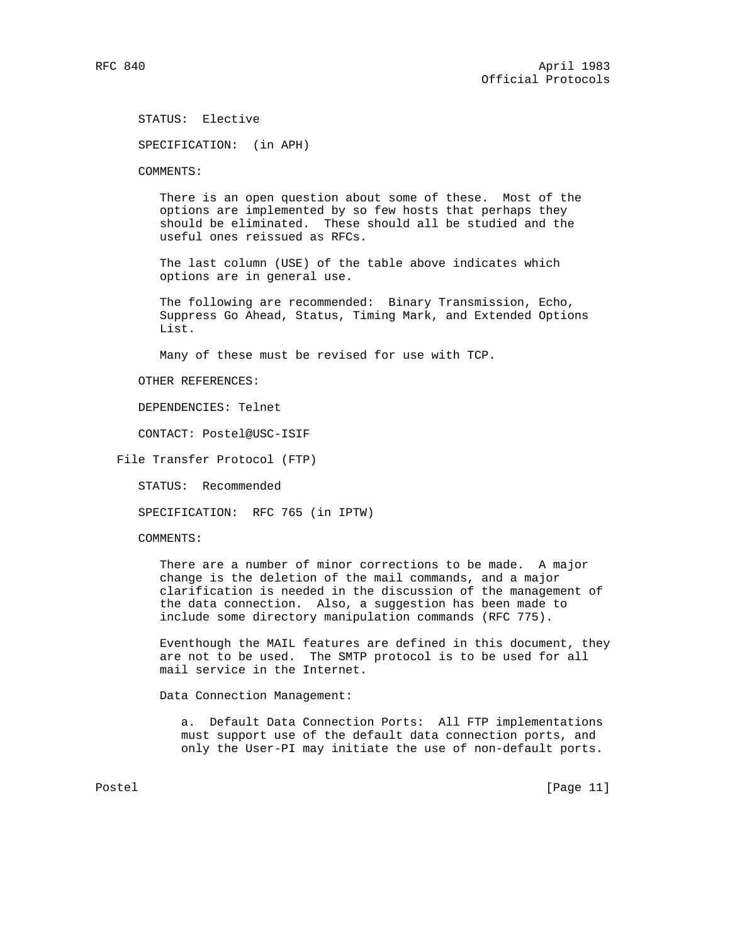STATUS: Elective

SPECIFICATION: (in APH)

COMMENTS:

 There is an open question about some of these. Most of the options are implemented by so few hosts that perhaps they should be eliminated. These should all be studied and the useful ones reissued as RFCs.

 The last column (USE) of the table above indicates which options are in general use.

 The following are recommended: Binary Transmission, Echo, Suppress Go Ahead, Status, Timing Mark, and Extended Options List.

Many of these must be revised for use with TCP.

OTHER REFERENCES:

DEPENDENCIES: Telnet

CONTACT: Postel@USC-ISIF

File Transfer Protocol (FTP)

STATUS: Recommended

SPECIFICATION: RFC 765 (in IPTW)

COMMENTS:

 There are a number of minor corrections to be made. A major change is the deletion of the mail commands, and a major clarification is needed in the discussion of the management of the data connection. Also, a suggestion has been made to include some directory manipulation commands (RFC 775).

 Eventhough the MAIL features are defined in this document, they are not to be used. The SMTP protocol is to be used for all mail service in the Internet.

Data Connection Management:

 a. Default Data Connection Ports: All FTP implementations must support use of the default data connection ports, and only the User-PI may initiate the use of non-default ports.

Postel [Page 11]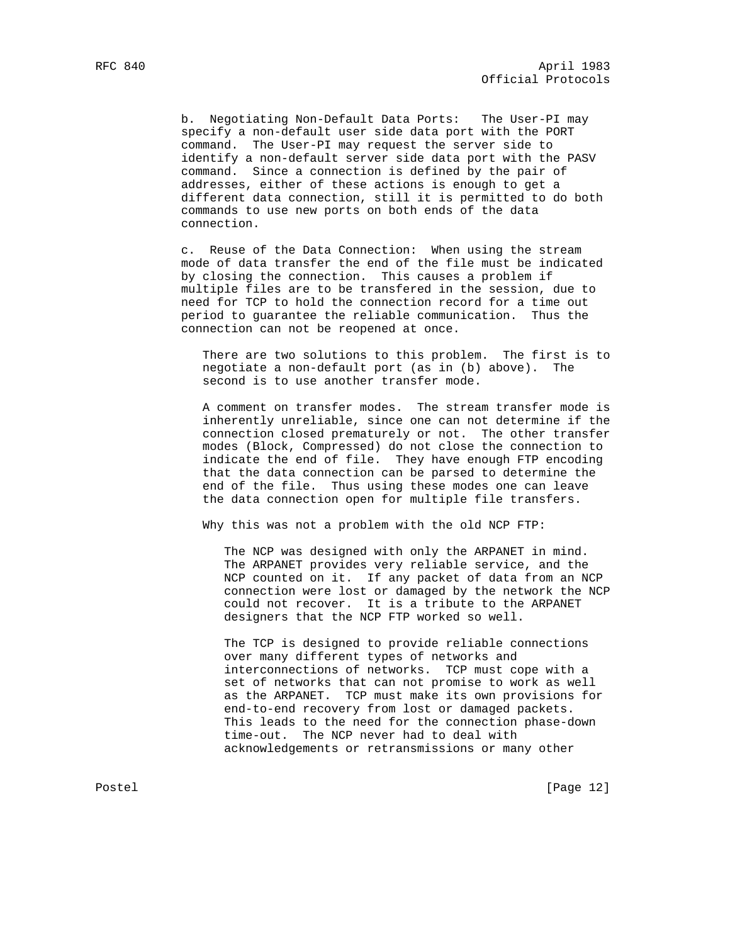b. Negotiating Non-Default Data Ports: The User-PI may specify a non-default user side data port with the PORT command. The User-PI may request the server side to identify a non-default server side data port with the PASV command. Since a connection is defined by the pair of addresses, either of these actions is enough to get a different data connection, still it is permitted to do both commands to use new ports on both ends of the data connection.

 c. Reuse of the Data Connection: When using the stream mode of data transfer the end of the file must be indicated by closing the connection. This causes a problem if multiple files are to be transfered in the session, due to need for TCP to hold the connection record for a time out period to guarantee the reliable communication. Thus the connection can not be reopened at once.

 There are two solutions to this problem. The first is to negotiate a non-default port (as in (b) above). The second is to use another transfer mode.

 A comment on transfer modes. The stream transfer mode is inherently unreliable, since one can not determine if the connection closed prematurely or not. The other transfer modes (Block, Compressed) do not close the connection to indicate the end of file. They have enough FTP encoding that the data connection can be parsed to determine the end of the file. Thus using these modes one can leave the data connection open for multiple file transfers.

Why this was not a problem with the old NCP FTP:

 The NCP was designed with only the ARPANET in mind. The ARPANET provides very reliable service, and the NCP counted on it. If any packet of data from an NCP connection were lost or damaged by the network the NCP could not recover. It is a tribute to the ARPANET designers that the NCP FTP worked so well.

 The TCP is designed to provide reliable connections over many different types of networks and interconnections of networks. TCP must cope with a set of networks that can not promise to work as well as the ARPANET. TCP must make its own provisions for end-to-end recovery from lost or damaged packets. This leads to the need for the connection phase-down time-out. The NCP never had to deal with acknowledgements or retransmissions or many other

Postel [Page 12]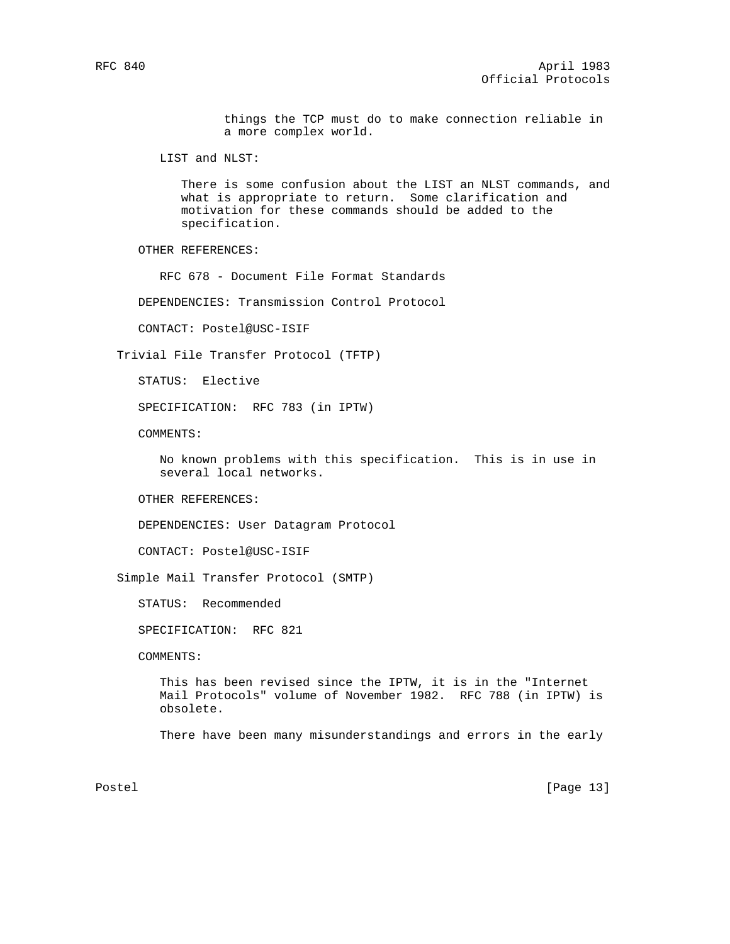things the TCP must do to make connection reliable in a more complex world.

LIST and NLST:

 There is some confusion about the LIST an NLST commands, and what is appropriate to return. Some clarification and motivation for these commands should be added to the specification.

OTHER REFERENCES:

RFC 678 - Document File Format Standards

DEPENDENCIES: Transmission Control Protocol

CONTACT: Postel@USC-ISIF

Trivial File Transfer Protocol (TFTP)

STATUS: Elective

SPECIFICATION: RFC 783 (in IPTW)

COMMENTS:

 No known problems with this specification. This is in use in several local networks.

OTHER REFERENCES:

DEPENDENCIES: User Datagram Protocol

CONTACT: Postel@USC-ISIF

Simple Mail Transfer Protocol (SMTP)

STATUS: Recommended

SPECIFICATION: RFC 821

COMMENTS:

 This has been revised since the IPTW, it is in the "Internet Mail Protocols" volume of November 1982. RFC 788 (in IPTW) is obsolete.

There have been many misunderstandings and errors in the early

Postel [Page 13]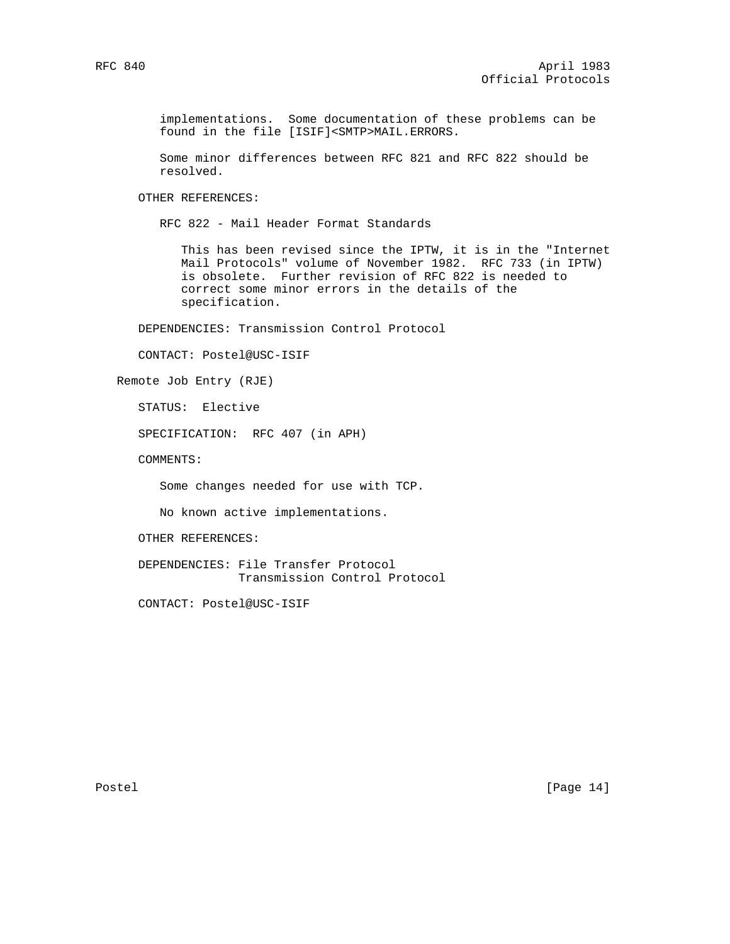implementations. Some documentation of these problems can be found in the file [ISIF]<SMTP>MAIL.ERRORS.

 Some minor differences between RFC 821 and RFC 822 should be resolved.

OTHER REFERENCES:

RFC 822 - Mail Header Format Standards

 This has been revised since the IPTW, it is in the "Internet Mail Protocols" volume of November 1982. RFC 733 (in IPTW) is obsolete. Further revision of RFC 822 is needed to correct some minor errors in the details of the specification.

DEPENDENCIES: Transmission Control Protocol

CONTACT: Postel@USC-ISIF

Remote Job Entry (RJE)

STATUS: Elective

SPECIFICATION: RFC 407 (in APH)

COMMENTS:

Some changes needed for use with TCP.

No known active implementations.

OTHER REFERENCES:

 DEPENDENCIES: File Transfer Protocol Transmission Control Protocol

CONTACT: Postel@USC-ISIF

Postel [Page 14]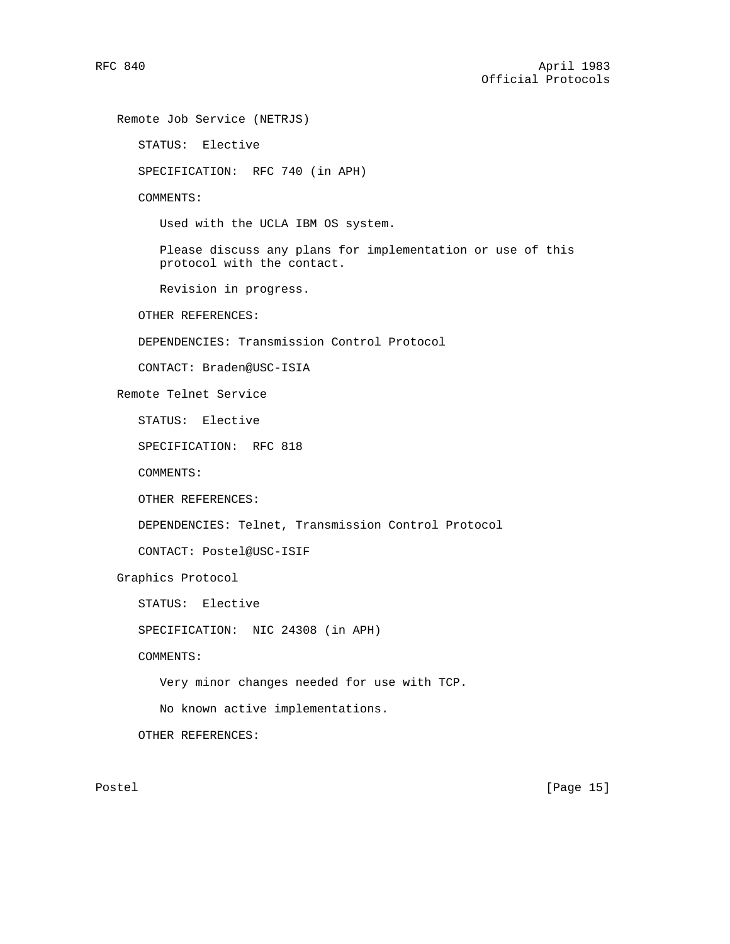Remote Job Service (NETRJS)

```
 STATUS: Elective
   SPECIFICATION: RFC 740 (in APH)
   COMMENTS:
      Used with the UCLA IBM OS system.
      Please discuss any plans for implementation or use of this
      protocol with the contact.
      Revision in progress.
   OTHER REFERENCES:
   DEPENDENCIES: Transmission Control Protocol
   CONTACT: Braden@USC-ISIA
Remote Telnet Service
   STATUS: Elective
   SPECIFICATION: RFC 818
   COMMENTS:
   OTHER REFERENCES:
   DEPENDENCIES: Telnet, Transmission Control Protocol
   CONTACT: Postel@USC-ISIF
Graphics Protocol
   STATUS: Elective
   SPECIFICATION: NIC 24308 (in APH)
   COMMENTS:
      Very minor changes needed for use with TCP.
      No known active implementations.
   OTHER REFERENCES:
```
Postel [Page 15]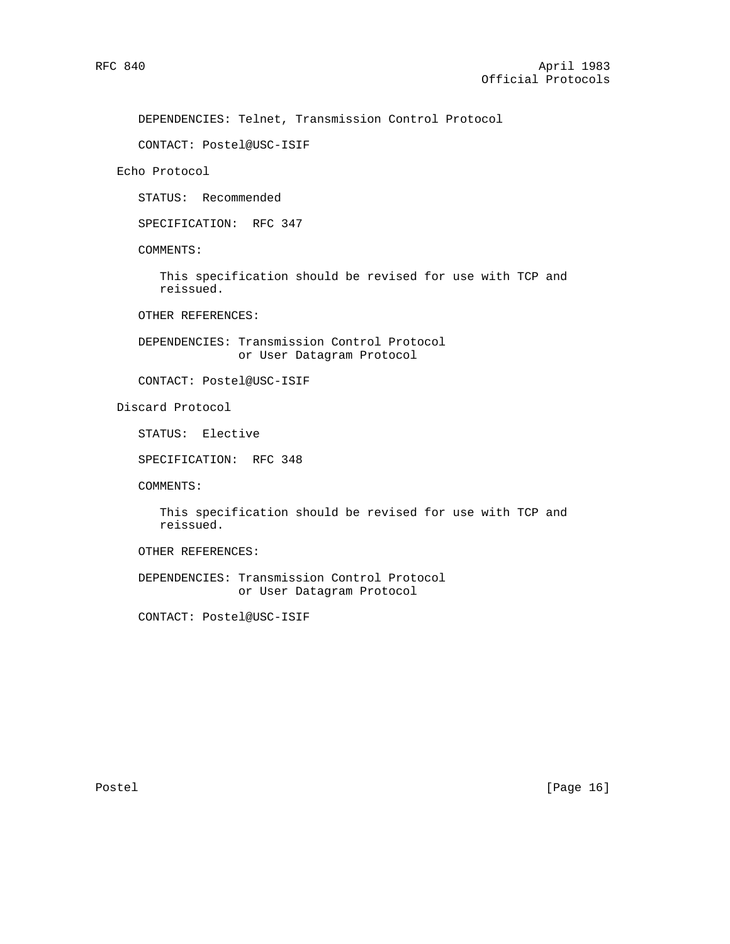DEPENDENCIES: Telnet, Transmission Control Protocol

CONTACT: Postel@USC-ISIF

Echo Protocol

STATUS: Recommended

SPECIFICATION: RFC 347

COMMENTS:

 This specification should be revised for use with TCP and reissued.

OTHER REFERENCES:

 DEPENDENCIES: Transmission Control Protocol or User Datagram Protocol

CONTACT: Postel@USC-ISIF

Discard Protocol

STATUS: Elective

SPECIFICATION: RFC 348

COMMENTS:

 This specification should be revised for use with TCP and reissued.

OTHER REFERENCES:

 DEPENDENCIES: Transmission Control Protocol or User Datagram Protocol

CONTACT: Postel@USC-ISIF

Postel [Page 16]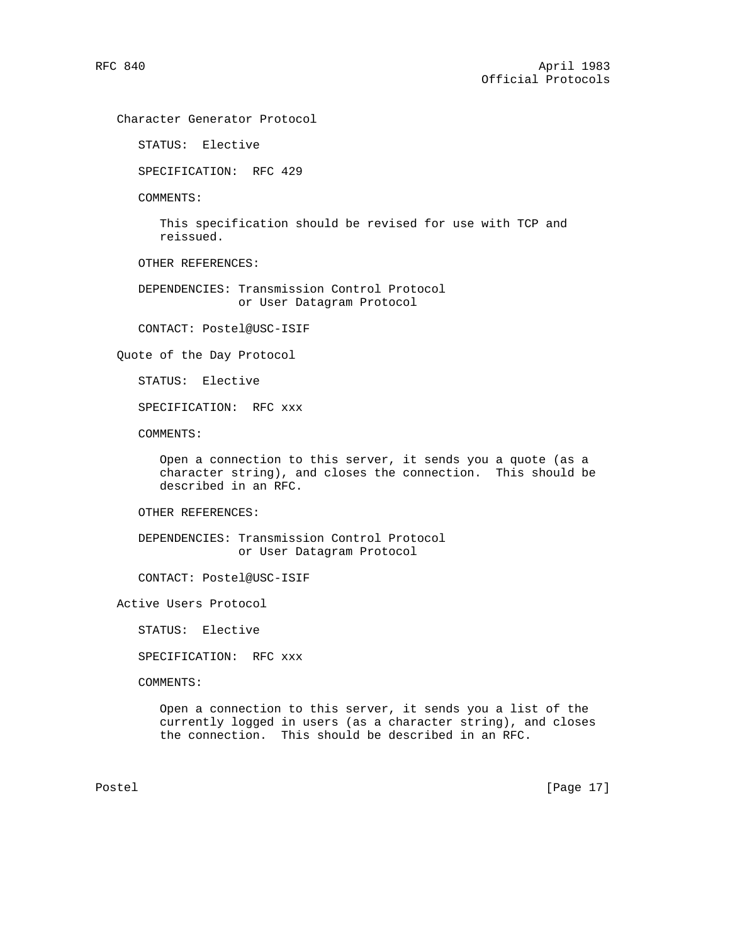Character Generator Protocol

STATUS: Elective

SPECIFICATION: RFC 429

COMMENTS:

 This specification should be revised for use with TCP and reissued.

OTHER REFERENCES:

 DEPENDENCIES: Transmission Control Protocol or User Datagram Protocol

CONTACT: Postel@USC-ISIF

Quote of the Day Protocol

STATUS: Elective

SPECIFICATION: RFC xxx

COMMENTS:

 Open a connection to this server, it sends you a quote (as a character string), and closes the connection. This should be described in an RFC.

OTHER REFERENCES:

 DEPENDENCIES: Transmission Control Protocol or User Datagram Protocol

CONTACT: Postel@USC-ISIF

Active Users Protocol

STATUS: Elective

SPECIFICATION: RFC xxx

COMMENTS:

 Open a connection to this server, it sends you a list of the currently logged in users (as a character string), and closes the connection. This should be described in an RFC.

Postel [Page 17]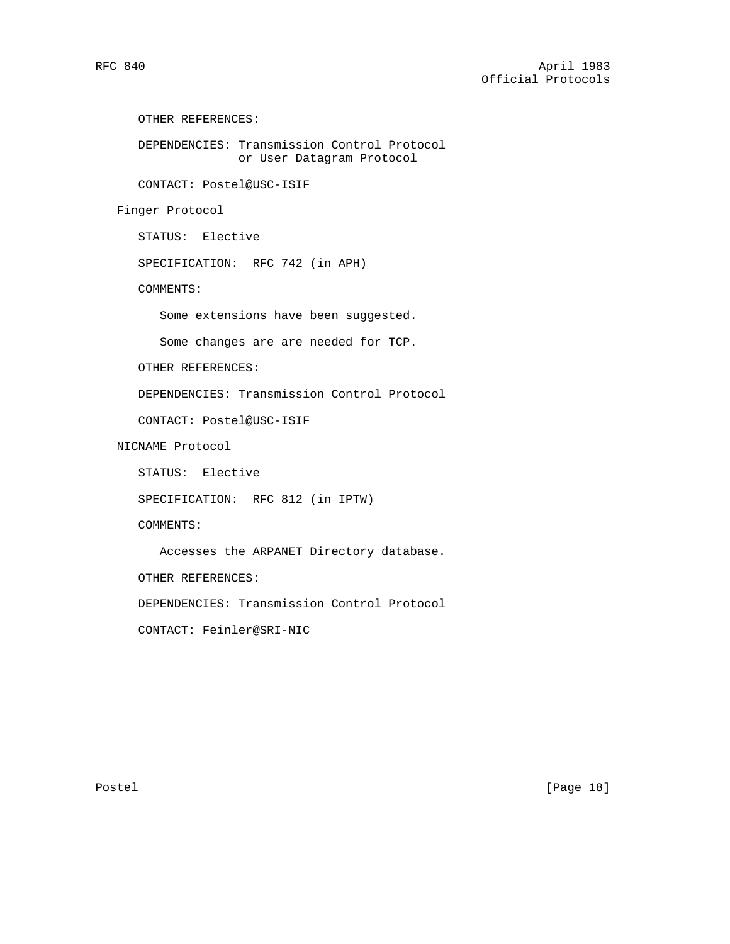```
 OTHER REFERENCES:
```
 DEPENDENCIES: Transmission Control Protocol or User Datagram Protocol

CONTACT: Postel@USC-ISIF

Finger Protocol

STATUS: Elective

SPECIFICATION: RFC 742 (in APH)

COMMENTS:

Some extensions have been suggested.

Some changes are are needed for TCP.

OTHER REFERENCES:

DEPENDENCIES: Transmission Control Protocol

CONTACT: Postel@USC-ISIF

NICNAME Protocol

STATUS: Elective

SPECIFICATION: RFC 812 (in IPTW)

COMMENTS:

Accesses the ARPANET Directory database.

OTHER REFERENCES:

DEPENDENCIES: Transmission Control Protocol

CONTACT: Feinler@SRI-NIC

Postel [Page 18]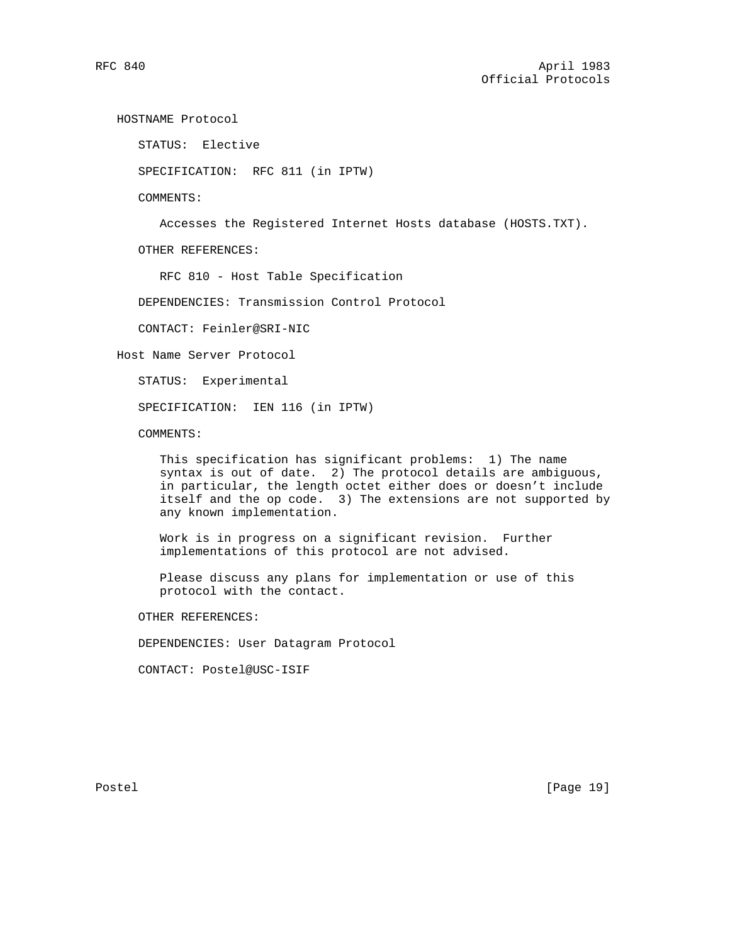HOSTNAME Protocol

STATUS: Elective

SPECIFICATION: RFC 811 (in IPTW)

COMMENTS:

Accesses the Registered Internet Hosts database (HOSTS.TXT).

OTHER REFERENCES:

RFC 810 - Host Table Specification

DEPENDENCIES: Transmission Control Protocol

CONTACT: Feinler@SRI-NIC

Host Name Server Protocol

STATUS: Experimental

SPECIFICATION: IEN 116 (in IPTW)

COMMENTS:

 This specification has significant problems: 1) The name syntax is out of date. 2) The protocol details are ambiguous, in particular, the length octet either does or doesn't include itself and the op code. 3) The extensions are not supported by any known implementation.

 Work is in progress on a significant revision. Further implementations of this protocol are not advised.

 Please discuss any plans for implementation or use of this protocol with the contact.

OTHER REFERENCES:

DEPENDENCIES: User Datagram Protocol

CONTACT: Postel@USC-ISIF

Postel [Page 19]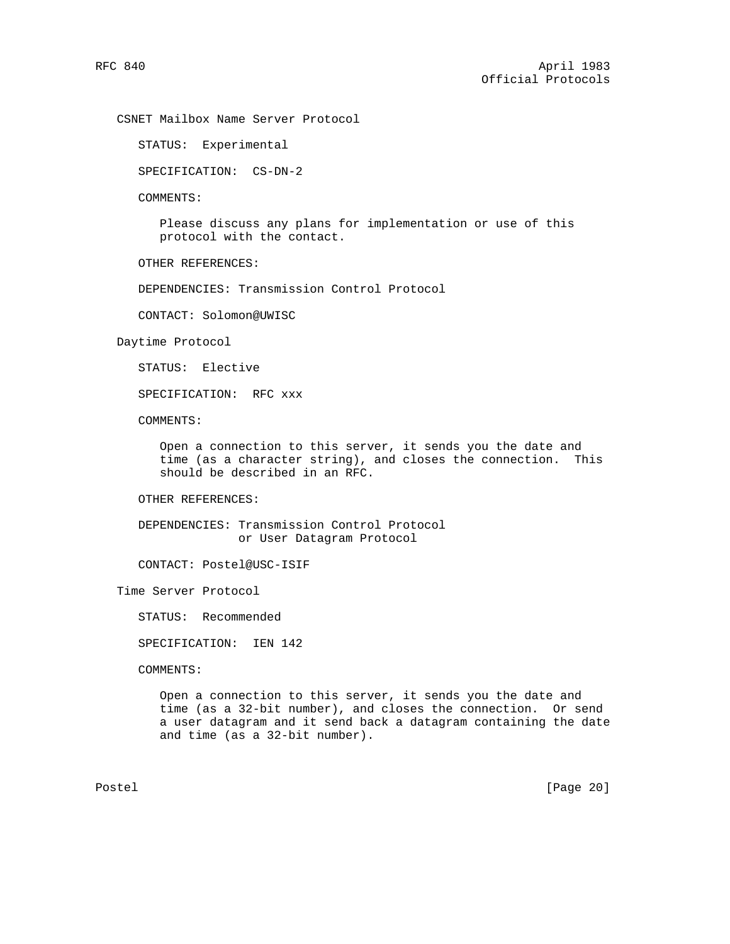CSNET Mailbox Name Server Protocol

STATUS: Experimental

SPECIFICATION: CS-DN-2

COMMENTS:

 Please discuss any plans for implementation or use of this protocol with the contact.

OTHER REFERENCES:

DEPENDENCIES: Transmission Control Protocol

CONTACT: Solomon@UWISC

Daytime Protocol

STATUS: Elective

SPECIFICATION: RFC xxx

COMMENTS:

 Open a connection to this server, it sends you the date and time (as a character string), and closes the connection. This should be described in an RFC.

OTHER REFERENCES:

 DEPENDENCIES: Transmission Control Protocol or User Datagram Protocol

CONTACT: Postel@USC-ISIF

Time Server Protocol

STATUS: Recommended

SPECIFICATION: IEN 142

COMMENTS:

 Open a connection to this server, it sends you the date and time (as a 32-bit number), and closes the connection. Or send a user datagram and it send back a datagram containing the date and time (as a 32-bit number).

Postel [Page 20]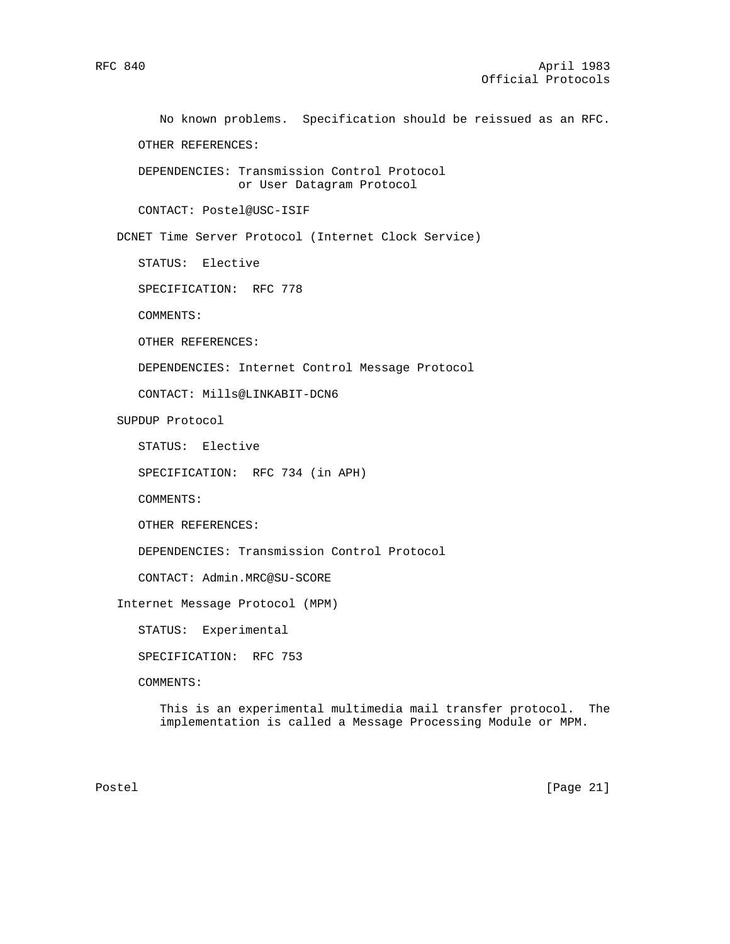No known problems. Specification should be reissued as an RFC.

OTHER REFERENCES:

 DEPENDENCIES: Transmission Control Protocol or User Datagram Protocol

CONTACT: Postel@USC-ISIF

DCNET Time Server Protocol (Internet Clock Service)

STATUS: Elective

SPECIFICATION: RFC 778

COMMENTS:

OTHER REFERENCES:

DEPENDENCIES: Internet Control Message Protocol

CONTACT: Mills@LINKABIT-DCN6

SUPDUP Protocol

STATUS: Elective

SPECIFICATION: RFC 734 (in APH)

COMMENTS:

OTHER REFERENCES:

DEPENDENCIES: Transmission Control Protocol

CONTACT: Admin.MRC@SU-SCORE

Internet Message Protocol (MPM)

STATUS: Experimental

SPECIFICATION: RFC 753

COMMENTS:

 This is an experimental multimedia mail transfer protocol. The implementation is called a Message Processing Module or MPM.

Postel [Page 21]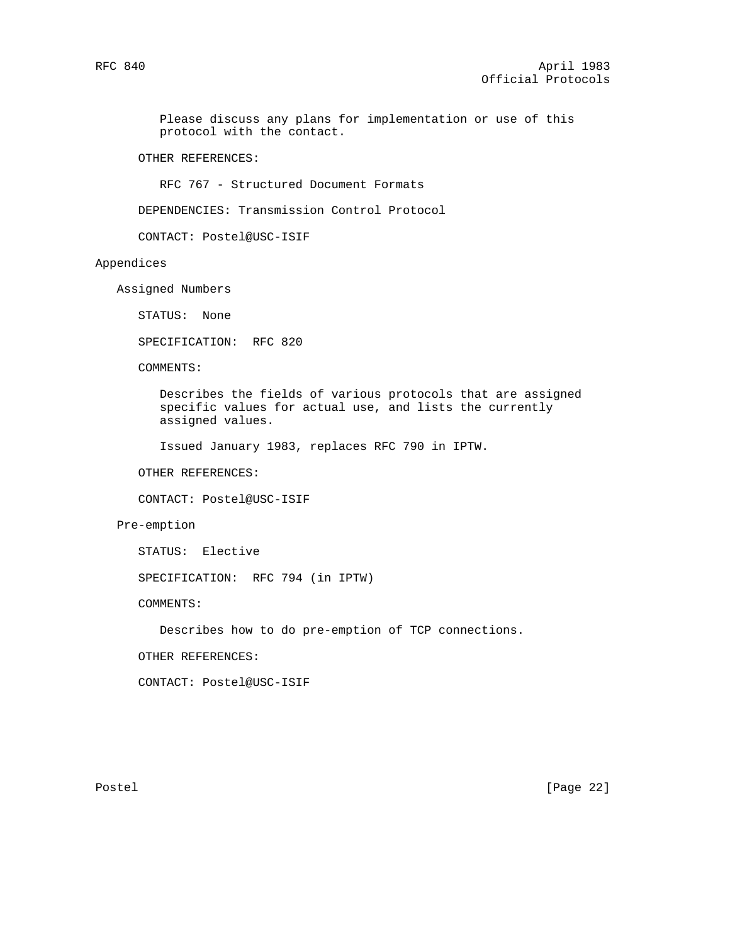Please discuss any plans for implementation or use of this protocol with the contact.

OTHER REFERENCES:

RFC 767 - Structured Document Formats

DEPENDENCIES: Transmission Control Protocol

CONTACT: Postel@USC-ISIF

### Appendices

Assigned Numbers

STATUS: None

SPECIFICATION: RFC 820

COMMENTS:

 Describes the fields of various protocols that are assigned specific values for actual use, and lists the currently assigned values.

Issued January 1983, replaces RFC 790 in IPTW.

OTHER REFERENCES:

CONTACT: Postel@USC-ISIF

### Pre-emption

STATUS: Elective

SPECIFICATION: RFC 794 (in IPTW)

COMMENTS:

Describes how to do pre-emption of TCP connections.

OTHER REFERENCES:

CONTACT: Postel@USC-ISIF